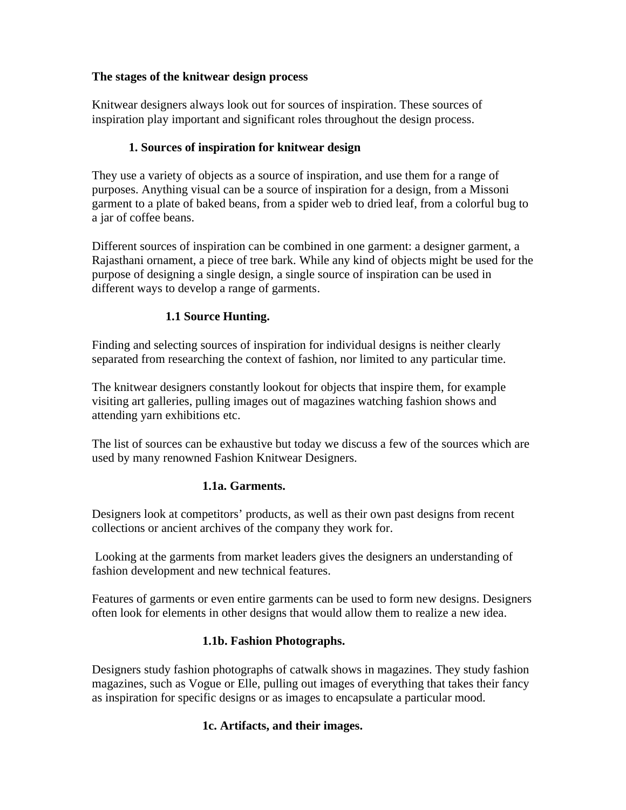#### **The stages of the knitwear design process**

Knitwear designers always look out for sources of inspiration. These sources of inspiration play important and significant roles throughout the design process.

#### **1. Sources of inspiration for knitwear design**

They use a variety of objects as a source of inspiration, and use them for a range of purposes. Anything visual can be a source of inspiration for a design, from a Missoni garment to a plate of baked beans, from a spider web to dried leaf, from a colorful bug to a jar of coffee beans.

Different sources of inspiration can be combined in one garment: a designer garment, a Rajasthani ornament, a piece of tree bark. While any kind of objects might be used for the purpose of designing a single design, a single source of inspiration can be used in different ways to develop a range of garments.

#### **1.1 Source Hunting.**

Finding and selecting sources of inspiration for individual designs is neither clearly separated from researching the context of fashion, nor limited to any particular time.

The knitwear designers constantly lookout for objects that inspire them, for example visiting art galleries, pulling images out of magazines watching fashion shows and attending yarn exhibitions etc.

The list of sources can be exhaustive but today we discuss a few of the sources which are used by many renowned Fashion Knitwear Designers.

#### **1.1a. Garments.**

Designers look at competitors' products, as well as their own past designs from recent collections or ancient archives of the company they work for.

Looking at the garments from market leaders gives the designers an understanding of fashion development and new technical features.

Features of garments or even entire garments can be used to form new designs. Designers often look for elements in other designs that would allow them to realize a new idea.

#### **1.1b. Fashion Photographs.**

Designers study fashion photographs of catwalk shows in magazines. They study fashion magazines, such as Vogue or Elle, pulling out images of everything that takes their fancy as inspiration for specific designs or as images to encapsulate a particular mood.

#### **1c. Artifacts, and their images.**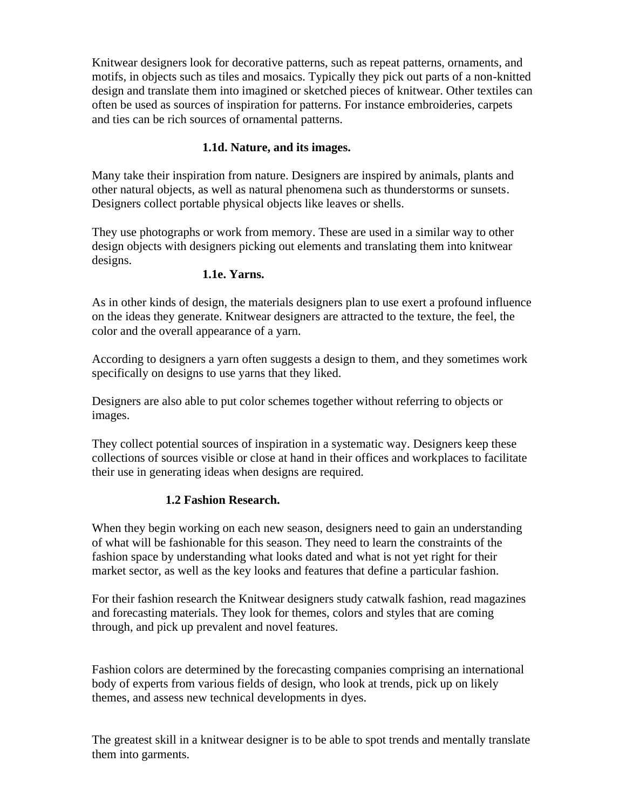Knitwear designers look for decorative patterns, such as repeat patterns, ornaments, and motifs, in objects such as tiles and mosaics. Typically they pick out parts of a non-knitted design and translate them into imagined or sketched pieces of knitwear. Other textiles can often be used as sources of inspiration for patterns. For instance embroideries, carpets and ties can be rich sources of ornamental patterns.

#### **1.1d. Nature, and its images.**

Many take their inspiration from nature. Designers are inspired by animals, plants and other natural objects, as well as natural phenomena such as thunderstorms or sunsets. Designers collect portable physical objects like leaves or shells.

They use photographs or work from memory. These are used in a similar way to other design objects with designers picking out elements and translating them into knitwear designs.

#### **1.1e. Yarns.**

As in other kinds of design, the materials designers plan to use exert a profound influence on the ideas they generate. Knitwear designers are attracted to the texture, the feel, the color and the overall appearance of a yarn.

According to designers a yarn often suggests a design to them, and they sometimes work specifically on designs to use yarns that they liked.

Designers are also able to put color schemes together without referring to objects or images.

They collect potential sources of inspiration in a systematic way. Designers keep these collections of sources visible or close at hand in their offices and workplaces to facilitate their use in generating ideas when designs are required.

#### **1.2 Fashion Research.**

When they begin working on each new season, designers need to gain an understanding of what will be fashionable for this season. They need to learn the constraints of the fashion space by understanding what looks dated and what is not yet right for their market sector, as well as the key looks and features that define a particular fashion.

For their fashion research the Knitwear designers study catwalk fashion, read magazines and forecasting materials. They look for themes, colors and styles that are coming through, and pick up prevalent and novel features.

Fashion colors are determined by the forecasting companies comprising an international body of experts from various fields of design, who look at trends, pick up on likely themes, and assess new technical developments in dyes.

The greatest skill in a knitwear designer is to be able to spot trends and mentally translate them into garments.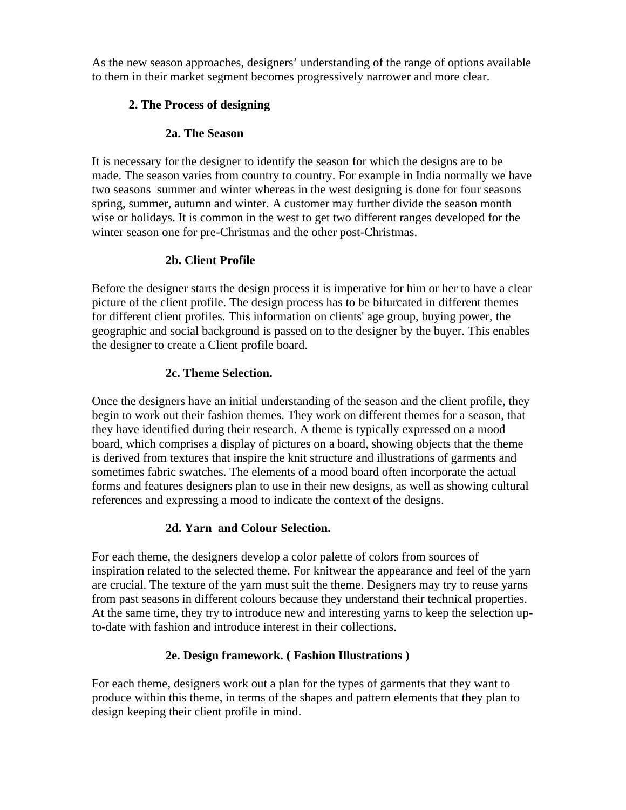As the new season approaches, designers' understanding of the range of options available to them in their market segment becomes progressively narrower and more clear.

### **2. The Process of designing**

### **2a. The Season**

It is necessary for the designer to identify the season for which the designs are to be made. The season varies from country to country. For example in India normally we have two seasons summer and winter whereas in the west designing is done for four seasons spring, summer, autumn and winter. A customer may further divide the season month wise or holidays. It is common in the west to get two different ranges developed for the winter season one for pre-Christmas and the other post-Christmas.

### **2b. Client Profile**

Before the designer starts the design process it is imperative for him or her to have a clear picture of the client profile. The design process has to be bifurcated in different themes for different client profiles. This information on clients' age group, buying power, the geographic and social background is passed on to the designer by the buyer. This enables the designer to create a Client profile board.

### **2c. Theme Selection.**

Once the designers have an initial understanding of the season and the client profile, they begin to work out their fashion themes. They work on different themes for a season, that they have identified during their research. A theme is typically expressed on a mood board, which comprises a display of pictures on a board, showing objects that the theme is derived from textures that inspire the knit structure and illustrations of garments and sometimes fabric swatches. The elements of a mood board often incorporate the actual forms and features designers plan to use in their new designs, as well as showing cultural references and expressing a mood to indicate the context of the designs.

# **2d. Yarn and Colour Selection.**

For each theme, the designers develop a color palette of colors from sources of inspiration related to the selected theme. For knitwear the appearance and feel of the yarn are crucial. The texture of the yarn must suit the theme. Designers may try to reuse yarns from past seasons in different colours because they understand their technical properties. At the same time, they try to introduce new and interesting yarns to keep the selection upto-date with fashion and introduce interest in their collections.

# **2e. Design framework. ( Fashion Illustrations )**

For each theme, designers work out a plan for the types of garments that they want to produce within this theme, in terms of the shapes and pattern elements that they plan to design keeping their client profile in mind.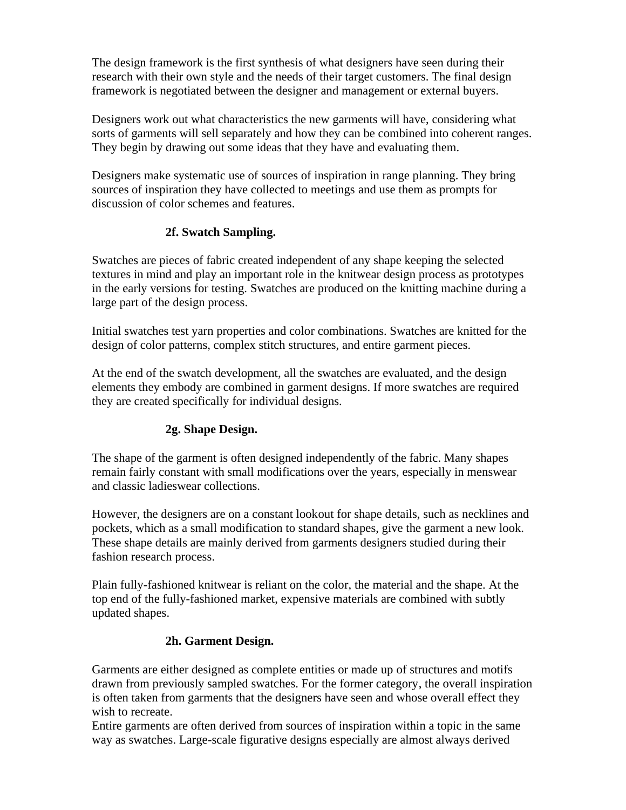The design framework is the first synthesis of what designers have seen during their research with their own style and the needs of their target customers. The final design framework is negotiated between the designer and management or external buyers.

Designers work out what characteristics the new garments will have, considering what sorts of garments will sell separately and how they can be combined into coherent ranges. They begin by drawing out some ideas that they have and evaluating them.

Designers make systematic use of sources of inspiration in range planning. They bring sources of inspiration they have collected to meetings and use them as prompts for discussion of color schemes and features.

#### **2f. Swatch Sampling.**

Swatches are pieces of fabric created independent of any shape keeping the selected textures in mind and play an important role in the knitwear design process as prototypes in the early versions for testing. Swatches are produced on the knitting machine during a large part of the design process.

Initial swatches test yarn properties and color combinations. Swatches are knitted for the design of color patterns, complex stitch structures, and entire garment pieces.

At the end of the swatch development, all the swatches are evaluated, and the design elements they embody are combined in garment designs. If more swatches are required they are created specifically for individual designs.

# **2g. Shape Design.**

The shape of the garment is often designed independently of the fabric. Many shapes remain fairly constant with small modifications over the years, especially in menswear and classic ladieswear collections.

However, the designers are on a constant lookout for shape details, such as necklines and pockets, which as a small modification to standard shapes, give the garment a new look. These shape details are mainly derived from garments designers studied during their fashion research process.

Plain fully-fashioned knitwear is reliant on the color, the material and the shape. At the top end of the fully-fashioned market, expensive materials are combined with subtly updated shapes.

#### **2h. Garment Design.**

Garments are either designed as complete entities or made up of structures and motifs drawn from previously sampled swatches. For the former category, the overall inspiration is often taken from garments that the designers have seen and whose overall effect they wish to recreate.

Entire garments are often derived from sources of inspiration within a topic in the same way as swatches. Large-scale figurative designs especially are almost always derived